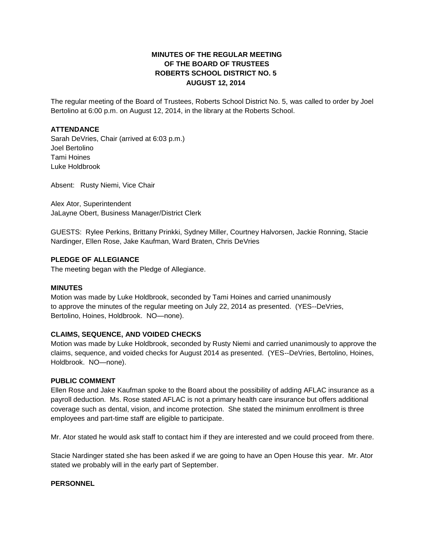## **MINUTES OF THE REGULAR MEETING OF THE BOARD OF TRUSTEES ROBERTS SCHOOL DISTRICT NO. 5 AUGUST 12, 2014**

The regular meeting of the Board of Trustees, Roberts School District No. 5, was called to order by Joel Bertolino at 6:00 p.m. on August 12, 2014, in the library at the Roberts School.

### **ATTENDANCE**

Sarah DeVries, Chair (arrived at 6:03 p.m.) Joel Bertolino Tami Hoines Luke Holdbrook

Absent: Rusty Niemi, Vice Chair

Alex Ator, Superintendent JaLayne Obert, Business Manager/District Clerk

GUESTS: Rylee Perkins, Brittany Prinkki, Sydney Miller, Courtney Halvorsen, Jackie Ronning, Stacie Nardinger, Ellen Rose, Jake Kaufman, Ward Braten, Chris DeVries

## **PLEDGE OF ALLEGIANCE**

The meeting began with the Pledge of Allegiance.

### **MINUTES**

Motion was made by Luke Holdbrook, seconded by Tami Hoines and carried unanimously to approve the minutes of the regular meeting on July 22, 2014 as presented. (YES--DeVries, Bertolino, Hoines, Holdbrook. NO—none).

### **CLAIMS, SEQUENCE, AND VOIDED CHECKS**

Motion was made by Luke Holdbrook, seconded by Rusty Niemi and carried unanimously to approve the claims, sequence, and voided checks for August 2014 as presented. (YES--DeVries, Bertolino, Hoines, Holdbrook. NO—none).

### **PUBLIC COMMENT**

Ellen Rose and Jake Kaufman spoke to the Board about the possibility of adding AFLAC insurance as a payroll deduction. Ms. Rose stated AFLAC is not a primary health care insurance but offers additional coverage such as dental, vision, and income protection. She stated the minimum enrollment is three employees and part-time staff are eligible to participate.

Mr. Ator stated he would ask staff to contact him if they are interested and we could proceed from there.

Stacie Nardinger stated she has been asked if we are going to have an Open House this year. Mr. Ator stated we probably will in the early part of September.

### **PERSONNEL**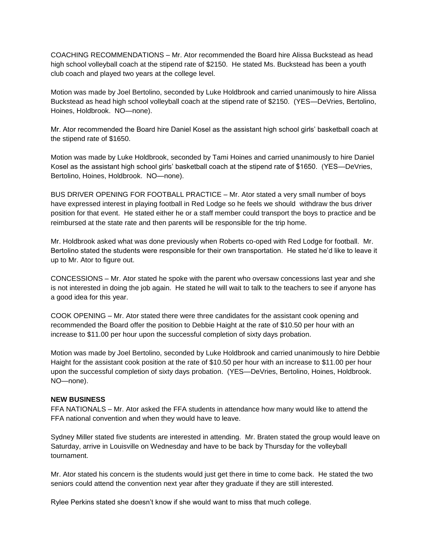COACHING RECOMMENDATIONS – Mr. Ator recommended the Board hire Alissa Buckstead as head high school volleyball coach at the stipend rate of \$2150. He stated Ms. Buckstead has been a youth club coach and played two years at the college level.

Motion was made by Joel Bertolino, seconded by Luke Holdbrook and carried unanimously to hire Alissa Buckstead as head high school volleyball coach at the stipend rate of \$2150. (YES—DeVries, Bertolino, Hoines, Holdbrook. NO—none).

Mr. Ator recommended the Board hire Daniel Kosel as the assistant high school girls' basketball coach at the stipend rate of \$1650.

Motion was made by Luke Holdbrook, seconded by Tami Hoines and carried unanimously to hire Daniel Kosel as the assistant high school girls' basketball coach at the stipend rate of \$1650. (YES—DeVries, Bertolino, Hoines, Holdbrook. NO—none).

BUS DRIVER OPENING FOR FOOTBALL PRACTICE – Mr. Ator stated a very small number of boys have expressed interest in playing football in Red Lodge so he feels we should withdraw the bus driver position for that event. He stated either he or a staff member could transport the boys to practice and be reimbursed at the state rate and then parents will be responsible for the trip home.

Mr. Holdbrook asked what was done previously when Roberts co-oped with Red Lodge for football. Mr. Bertolino stated the students were responsible for their own transportation. He stated he'd like to leave it up to Mr. Ator to figure out.

CONCESSIONS – Mr. Ator stated he spoke with the parent who oversaw concessions last year and she is not interested in doing the job again. He stated he will wait to talk to the teachers to see if anyone has a good idea for this year.

COOK OPENING – Mr. Ator stated there were three candidates for the assistant cook opening and recommended the Board offer the position to Debbie Haight at the rate of \$10.50 per hour with an increase to \$11.00 per hour upon the successful completion of sixty days probation.

Motion was made by Joel Bertolino, seconded by Luke Holdbrook and carried unanimously to hire Debbie Haight for the assistant cook position at the rate of \$10.50 per hour with an increase to \$11.00 per hour upon the successful completion of sixty days probation. (YES—DeVries, Bertolino, Hoines, Holdbrook. NO—none).

### **NEW BUSINESS**

FFA NATIONALS – Mr. Ator asked the FFA students in attendance how many would like to attend the FFA national convention and when they would have to leave.

Sydney Miller stated five students are interested in attending. Mr. Braten stated the group would leave on Saturday, arrive in Louisville on Wednesday and have to be back by Thursday for the volleyball tournament.

Mr. Ator stated his concern is the students would just get there in time to come back. He stated the two seniors could attend the convention next year after they graduate if they are still interested.

Rylee Perkins stated she doesn't know if she would want to miss that much college.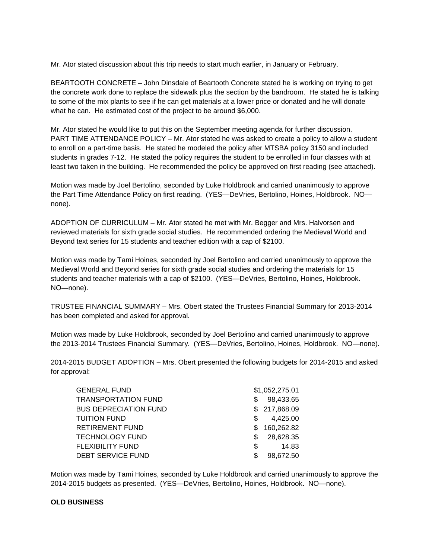Mr. Ator stated discussion about this trip needs to start much earlier, in January or February.

BEARTOOTH CONCRETE – John Dinsdale of Beartooth Concrete stated he is working on trying to get the concrete work done to replace the sidewalk plus the section by the bandroom. He stated he is talking to some of the mix plants to see if he can get materials at a lower price or donated and he will donate what he can. He estimated cost of the project to be around \$6,000.

Mr. Ator stated he would like to put this on the September meeting agenda for further discussion. PART TIME ATTENDANCE POLICY – Mr. Ator stated he was asked to create a policy to allow a student to enroll on a part-time basis. He stated he modeled the policy after MTSBA policy 3150 and included students in grades 7-12. He stated the policy requires the student to be enrolled in four classes with at least two taken in the building. He recommended the policy be approved on first reading (see attached).

Motion was made by Joel Bertolino, seconded by Luke Holdbrook and carried unanimously to approve the Part Time Attendance Policy on first reading. (YES—DeVries, Bertolino, Hoines, Holdbrook. NO none).

ADOPTION OF CURRICULUM – Mr. Ator stated he met with Mr. Begger and Mrs. Halvorsen and reviewed materials for sixth grade social studies. He recommended ordering the Medieval World and Beyond text series for 15 students and teacher edition with a cap of \$2100.

Motion was made by Tami Hoines, seconded by Joel Bertolino and carried unanimously to approve the Medieval World and Beyond series for sixth grade social studies and ordering the materials for 15 students and teacher materials with a cap of \$2100. (YES—DeVries, Bertolino, Hoines, Holdbrook. NO—none).

TRUSTEE FINANCIAL SUMMARY – Mrs. Obert stated the Trustees Financial Summary for 2013-2014 has been completed and asked for approval.

Motion was made by Luke Holdbrook, seconded by Joel Bertolino and carried unanimously to approve the 2013-2014 Trustees Financial Summary. (YES—DeVries, Bertolino, Hoines, Holdbrook. NO—none).

2014-2015 BUDGET ADOPTION – Mrs. Obert presented the following budgets for 2014-2015 and asked for approval:

|    | \$1,052,275.01 |
|----|----------------|
| S. | 98,433.65      |
|    | \$217,868.09   |
| S  | 4,425.00       |
| S. | 160,262.82     |
| S. | 28,628.35      |
| \$ | 14.83          |
| \$ | 98,672.50      |
|    |                |

Motion was made by Tami Hoines, seconded by Luke Holdbrook and carried unanimously to approve the 2014-2015 budgets as presented. (YES—DeVries, Bertolino, Hoines, Holdbrook. NO—none).

### **OLD BUSINESS**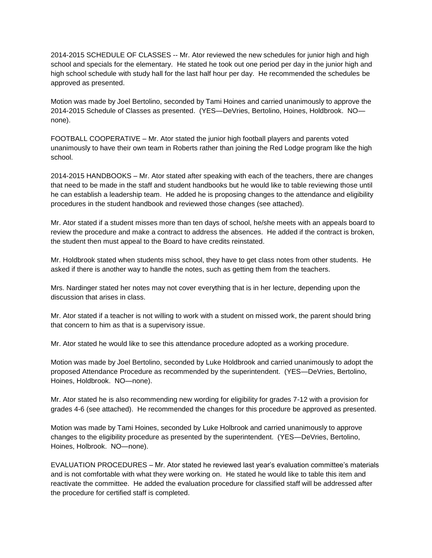2014-2015 SCHEDULE OF CLASSES -- Mr. Ator reviewed the new schedules for junior high and high school and specials for the elementary. He stated he took out one period per day in the junior high and high school schedule with study hall for the last half hour per day. He recommended the schedules be approved as presented.

Motion was made by Joel Bertolino, seconded by Tami Hoines and carried unanimously to approve the 2014-2015 Schedule of Classes as presented. (YES—DeVries, Bertolino, Hoines, Holdbrook. NO none).

FOOTBALL COOPERATIVE – Mr. Ator stated the junior high football players and parents voted unanimously to have their own team in Roberts rather than joining the Red Lodge program like the high school.

2014-2015 HANDBOOKS – Mr. Ator stated after speaking with each of the teachers, there are changes that need to be made in the staff and student handbooks but he would like to table reviewing those until he can establish a leadership team. He added he is proposing changes to the attendance and eligibility procedures in the student handbook and reviewed those changes (see attached).

Mr. Ator stated if a student misses more than ten days of school, he/she meets with an appeals board to review the procedure and make a contract to address the absences. He added if the contract is broken, the student then must appeal to the Board to have credits reinstated.

Mr. Holdbrook stated when students miss school, they have to get class notes from other students. He asked if there is another way to handle the notes, such as getting them from the teachers.

Mrs. Nardinger stated her notes may not cover everything that is in her lecture, depending upon the discussion that arises in class.

Mr. Ator stated if a teacher is not willing to work with a student on missed work, the parent should bring that concern to him as that is a supervisory issue.

Mr. Ator stated he would like to see this attendance procedure adopted as a working procedure.

Motion was made by Joel Bertolino, seconded by Luke Holdbrook and carried unanimously to adopt the proposed Attendance Procedure as recommended by the superintendent. (YES—DeVries, Bertolino, Hoines, Holdbrook. NO—none).

Mr. Ator stated he is also recommending new wording for eligibility for grades 7-12 with a provision for grades 4-6 (see attached). He recommended the changes for this procedure be approved as presented.

Motion was made by Tami Hoines, seconded by Luke Holbrook and carried unanimously to approve changes to the eligibility procedure as presented by the superintendent. (YES—DeVries, Bertolino, Hoines, Holbrook. NO—none).

EVALUATION PROCEDURES – Mr. Ator stated he reviewed last year's evaluation committee's materials and is not comfortable with what they were working on. He stated he would like to table this item and reactivate the committee. He added the evaluation procedure for classified staff will be addressed after the procedure for certified staff is completed.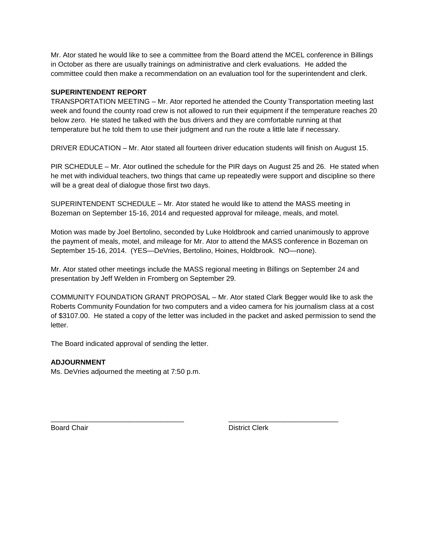Mr. Ator stated he would like to see a committee from the Board attend the MCEL conference in Billings in October as there are usually trainings on administrative and clerk evaluations. He added the committee could then make a recommendation on an evaluation tool for the superintendent and clerk.

### **SUPERINTENDENT REPORT**

TRANSPORTATION MEETING – Mr. Ator reported he attended the County Transportation meeting last week and found the county road crew is not allowed to run their equipment if the temperature reaches 20 below zero. He stated he talked with the bus drivers and they are comfortable running at that temperature but he told them to use their judgment and run the route a little late if necessary.

DRIVER EDUCATION – Mr. Ator stated all fourteen driver education students will finish on August 15.

PIR SCHEDULE – Mr. Ator outlined the schedule for the PIR days on August 25 and 26. He stated when he met with individual teachers, two things that came up repeatedly were support and discipline so there will be a great deal of dialogue those first two days.

SUPERINTENDENT SCHEDULE – Mr. Ator stated he would like to attend the MASS meeting in Bozeman on September 15-16, 2014 and requested approval for mileage, meals, and motel.

Motion was made by Joel Bertolino, seconded by Luke Holdbrook and carried unanimously to approve the payment of meals, motel, and mileage for Mr. Ator to attend the MASS conference in Bozeman on September 15-16, 2014. (YES—DeVries, Bertolino, Hoines, Holdbrook. NO—none).

Mr. Ator stated other meetings include the MASS regional meeting in Billings on September 24 and presentation by Jeff Welden in Fromberg on September 29.

\_\_\_\_\_\_\_\_\_\_\_\_\_\_\_\_\_\_\_\_\_\_\_\_\_\_\_\_\_\_\_\_\_\_ \_\_\_\_\_\_\_\_\_\_\_\_\_\_\_\_\_\_\_\_\_\_\_\_\_\_\_\_

COMMUNITY FOUNDATION GRANT PROPOSAL – Mr. Ator stated Clark Begger would like to ask the Roberts Community Foundation for two computers and a video camera for his journalism class at a cost of \$3107.00. He stated a copy of the letter was included in the packet and asked permission to send the letter.

The Board indicated approval of sending the letter.

# **ADJOURNMENT**

Ms. DeVries adjourned the meeting at 7:50 p.m.

Board Chair **District Clerk**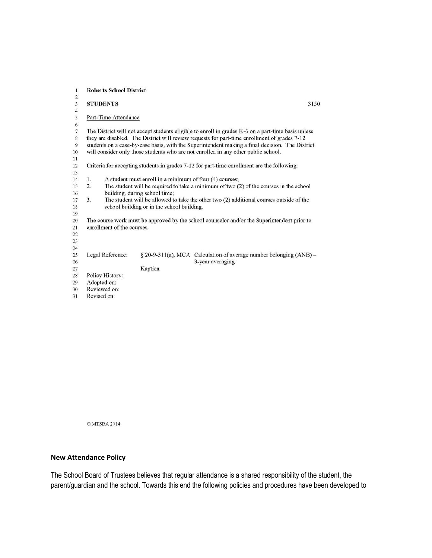| $\mathbf{1}$   | <b>Roberts School District</b>                                                                               |  |  |  |  |
|----------------|--------------------------------------------------------------------------------------------------------------|--|--|--|--|
| $\sqrt{2}$     |                                                                                                              |  |  |  |  |
| $\overline{3}$ | <b>STUDENTS</b><br>3150                                                                                      |  |  |  |  |
| $\overline{4}$ |                                                                                                              |  |  |  |  |
| 5              | Part-Time Attendance                                                                                         |  |  |  |  |
| 6              |                                                                                                              |  |  |  |  |
| $\overline{7}$ | The District will not accept students eligible to enroll in grades K-6 on a part-time basis unless           |  |  |  |  |
| $\,$ 8 $\,$    | they are disabled. The District will review requests for part-time enrollment of grades 7-12                 |  |  |  |  |
| $\overline{9}$ | students on a case-by-case basis, with the Superintendent making a final decision. The District              |  |  |  |  |
| 10             | will consider only those students who are not enrolled in any other public school.                           |  |  |  |  |
| 11             |                                                                                                              |  |  |  |  |
| 12             | Criteria for accepting students in grades 7-12 for part-time enrollment are the following:                   |  |  |  |  |
| 13             |                                                                                                              |  |  |  |  |
| 14             | A student must enroll in a minimum of four (4) courses;<br>1.                                                |  |  |  |  |
| 15             | The student will be required to take a minimum of two $(2)$ of the courses in the school<br>$\overline{2}$ . |  |  |  |  |
| 16             | building, during school time;                                                                                |  |  |  |  |
| 17             | 3.<br>The student will be allowed to take the other two (2) additional courses outside of the                |  |  |  |  |
| 18             | school building or in the school building.                                                                   |  |  |  |  |
| 19             |                                                                                                              |  |  |  |  |
| 20             | The course work must be approved by the school counselor and/or the Superintendent prior to                  |  |  |  |  |
| 21             | enrollment of the courses.                                                                                   |  |  |  |  |
| 22             |                                                                                                              |  |  |  |  |
| 23             |                                                                                                              |  |  |  |  |
| 24             |                                                                                                              |  |  |  |  |
| 25             | § 20-9-311(a), MCA Calculation of average number belonging (ANB) -<br>Legal Reference:                       |  |  |  |  |
| 26             | 3-year averaging                                                                                             |  |  |  |  |
| 27             | Kaptien                                                                                                      |  |  |  |  |
| 28             | Policy History:                                                                                              |  |  |  |  |
| 29             | Adopted on:                                                                                                  |  |  |  |  |
| 30             | Reviewed on:                                                                                                 |  |  |  |  |
|                | $\mathbf{r}$ $\mathbf{r}$ $\mathbf{r}$                                                                       |  |  |  |  |

31 Revised on:

**OMTSBA 2014** 

## **New Attendance Policy**

The School Board of Trustees believes that regular attendance is a shared responsibility of the student, the parent/guardian and the school. Towards this end the following policies and procedures have been developed to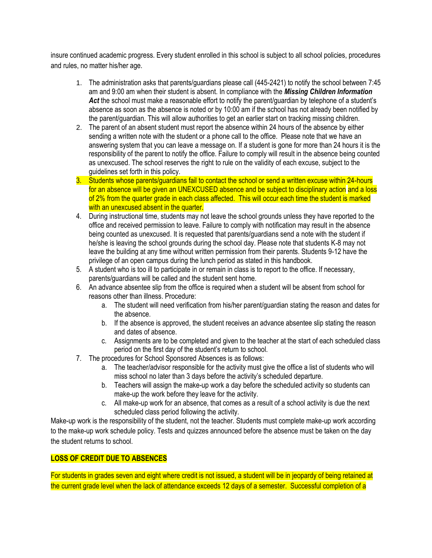insure continued academic progress. Every student enrolled in this school is subject to all school policies, procedures and rules, no matter his/her age.

- 1. The administration asks that parents/guardians please call (445-2421) to notify the school between 7:45 am and 9:00 am when their student is absent. In compliance with the *Missing Children Information*  Act the school must make a reasonable effort to notify the parent/guardian by telephone of a student's absence as soon as the absence is noted or by 10:00 am if the school has not already been notified by the parent/guardian. This will allow authorities to get an earlier start on tracking missing children.
- 2. The parent of an absent student must report the absence within 24 hours of the absence by either sending a written note with the student or a phone call to the office. Please note that we have an answering system that you can leave a message on. If a student is gone for more than 24 hours it is the responsibility of the parent to notify the office. Failure to comply will result in the absence being counted as unexcused. The school reserves the right to rule on the validity of each excuse, subject to the guidelines set forth in this policy.
- 3. Students whose parents/guardians fail to contact the school or send a written excuse within 24-hours for an absence will be given an UNEXCUSED absence and be subject to disciplinary action and a loss of 2% from the quarter grade in each class affected. This will occur each time the student is marked with an unexcused absent in the quarter.
- 4. During instructional time, students may not leave the school grounds unless they have reported to the office and received permission to leave. Failure to comply with notification may result in the absence being counted as unexcused. It is requested that parents/guardians send a note with the student if he/she is leaving the school grounds during the school day. Please note that students K-8 may not leave the building at any time without written permission from their parents. Students 9-12 have the privilege of an open campus during the lunch period as stated in this handbook.
- 5. A student who is too ill to participate in or remain in class is to report to the office. If necessary, parents/guardians will be called and the student sent home.
- 6. An advance absentee slip from the office is required when a student will be absent from school for reasons other than illness. Procedure:
	- a. The student will need verification from his/her parent/guardian stating the reason and dates for the absence.
	- b. If the absence is approved, the student receives an advance absentee slip stating the reason and dates of absence.
	- c. Assignments are to be completed and given to the teacher at the start of each scheduled class period on the first day of the student's return to school.
- 7. The procedures for School Sponsored Absences is as follows:
	- a. The teacher/advisor responsible for the activity must give the office a list of students who will miss school no later than 3 days before the activity's scheduled departure.
	- b. Teachers will assign the make-up work a day before the scheduled activity so students can make-up the work before they leave for the activity.
	- c. All make-up work for an absence, that comes as a result of a school activity is due the next scheduled class period following the activity.

Make-up work is the responsibility of the student, not the teacher. Students must complete make-up work according to the make-up work schedule policy. Tests and quizzes announced before the absence must be taken on the day the student returns to school.

# **LOSS OF CREDIT DUE TO ABSENCES**

For students in grades seven and eight where credit is not issued, a student will be in jeopardy of being retained at the current grade level when the lack of attendance exceeds 12 days of a semester. Successful completion of a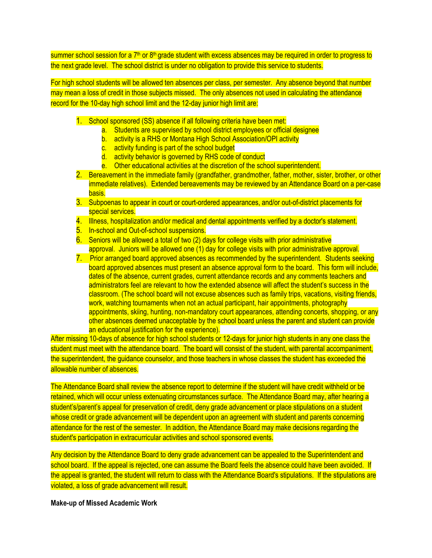summer school session for a 7<sup>th</sup> or 8<sup>th</sup> grade student with excess absences may be required in order to progress to the next grade level. The school district is under no obligation to provide this service to students.

For high school students will be allowed ten absences per class, per semester. Any absence beyond that number may mean a loss of credit in those subjects missed. The only absences not used in calculating the attendance record for the 10-day high school limit and the 12-day junior high limit are:

- 1. School sponsored (SS) absence if all following criteria have been met:
	- a. Students are supervised by school district employees or official designee
	- b. activity is a RHS or Montana High School Association/OPI activity
	- c. activity funding is part of the school budget
	- d. activity behavior is governed by RHS code of conduct
	- e. Other educational activities at the discretion of the school superintendent.
- 2. Bereavement in the immediate family (grandfather, grandmother, father, mother, sister, brother, or other immediate relatives). Extended bereavements may be reviewed by an Attendance Board on a per-case basis.
- 3. Subpoenas to appear in court or court-ordered appearances, and/or out-of-district placements for special services.
- 4. Illness, hospitalization and/or medical and dental appointments verified by a doctor's statement.
- 5. In-school and Out-of-school suspensions.
- 6. Seniors will be allowed a total of two (2) days for college visits with prior administrative approval. Juniors will be allowed one (1) day for college visits with prior administrative approval.
- 7. Prior arranged board approved absences as recommended by the superintendent. Students seeking board approved absences must present an absence approval form to the board. This form will include, dates of the absence, current grades, current attendance records and any comments teachers and administrators feel are relevant to how the extended absence will affect the student's success in the classroom. (The school board will not excuse absences such as family trips, vacations, visiting friends, work, watching tournaments when not an actual participant, hair appointments, photography appointments, skiing, hunting, non-mandatory court appearances, attending concerts, shopping, or any other absences deemed unacceptable by the school board unless the parent and student can provide an educational justification for the experience).

After missing 10-days of absence for high school students or 12-days for junior high students in any one class the student must meet with the attendance board. The board will consist of the student, with parental accompaniment, the superintendent, the guidance counselor, and those teachers in whose classes the student has exceeded the allowable number of absences.

The Attendance Board shall review the absence report to determine if the student will have credit withheld or be retained, which will occur unless extenuating circumstances surface. The Attendance Board may, after hearing a student's/parent's appeal for preservation of credit, deny grade advancement or place stipulations on a student whose credit or grade advancement will be dependent upon an agreement with student and parents concerning attendance for the rest of the semester. In addition, the Attendance Board may make decisions regarding the student's participation in extracurricular activities and school sponsored events.

Any decision by the Attendance Board to deny grade advancement can be appealed to the Superintendent and school board. If the appeal is rejected, one can assume the Board feels the absence could have been avoided. If the appeal is granted, the student will return to class with the Attendance Board's stipulations. If the stipulations are violated, a loss of grade advancement will result.

## **Make-up of Missed Academic Work**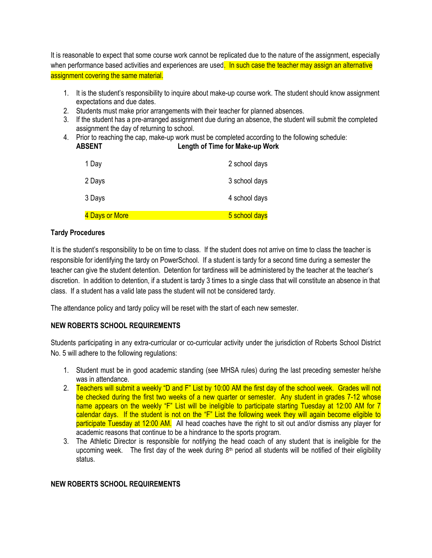It is reasonable to expect that some course work cannot be replicated due to the nature of the assignment, especially when performance based activities and experiences are used. In such case the teacher may assign an alternative assignment covering the same material.

- 1. It is the student's responsibility to inquire about make-up course work. The student should know assignment expectations and due dates.
- 2. Students must make prior arrangements with their teacher for planned absences.
- 3. If the student has a pre-arranged assignment due during an absence, the student will submit the completed assignment the day of returning to school.
- 4. Prior to reaching the cap, make-up work must be completed according to the following schedule: **ABSENT Length of Time for Make-up Work**

| 1 Day          | 2 school days |
|----------------|---------------|
| 2 Days         | 3 school days |
| 3 Days         | 4 school days |
| 4 Days or More | 5 school days |

# **Tardy Procedures**

It is the student's responsibility to be on time to class. If the student does not arrive on time to class the teacher is responsible for identifying the tardy on PowerSchool. If a student is tardy for a second time during a semester the teacher can give the student detention. Detention for tardiness will be administered by the teacher at the teacher's discretion. In addition to detention, if a student is tardy 3 times to a single class that will constitute an absence in that class. If a student has a valid late pass the student will not be considered tardy.

The attendance policy and tardy policy will be reset with the start of each new semester.

# **NEW ROBERTS SCHOOL REQUIREMENTS**

Students participating in any extra-curricular or co-curricular activity under the jurisdiction of Roberts School District No. 5 will adhere to the following regulations:

- 1. Student must be in good academic standing (see MHSA rules) during the last preceding semester he/she was in attendance.
- 2. Teachers will submit a weekly "D and F" List by 10:00 AM the first day of the school week. Grades will not be checked during the first two weeks of a new quarter or semester. Any student in grades 7-12 whose name appears on the weekly "F" List will be ineligible to participate starting Tuesday at 12:00 AM for 7 calendar days. If the student is not on the "F" List the following week they will again become eligible to participate Tuesday at 12:00 AM. All head coaches have the right to sit out and/or dismiss any player for academic reasons that continue to be a hindrance to the sports program.
- 3. The Athletic Director is responsible for notifying the head coach of any student that is ineligible for the upcoming week. The first day of the week during 8<sup>th</sup> period all students will be notified of their eligibility status.

## **NEW ROBERTS SCHOOL REQUIREMENTS**